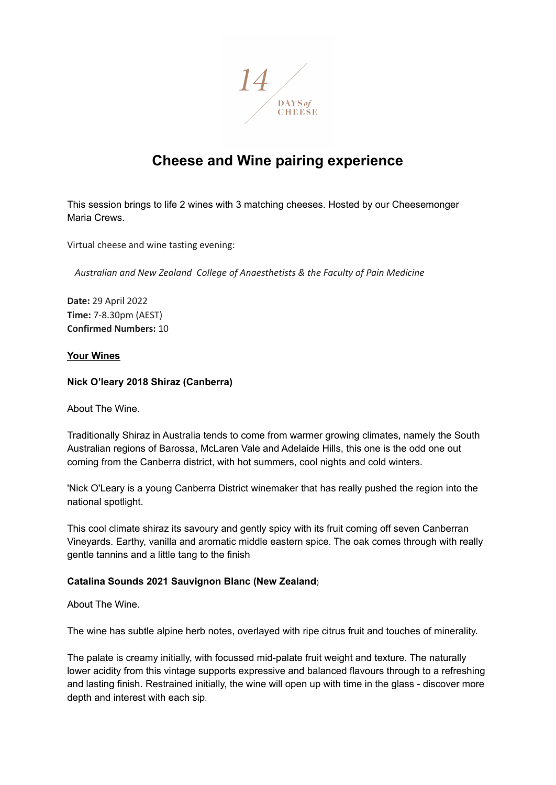

# **Cheese and Wine pairing experience**

This session brings to life 2 wines with 3 matching cheeses. Hosted by our Cheesemonger Maria Crews.

Virtual cheese and wine tasting evening:

*Australian and New Zealand College of Anaesthetists & the Faculty of Pain Medicine*

**Date:** 29 April 2022 **Time:** 7-8.30pm (AEST) **Confirmed Numbers:** 10

### **Your Wines**

### **Nick O'leary 2018 Shiraz (Canberra)**

About The Wine.

Traditionally Shiraz in Australia tends to come from warmer growing climates, namely the South Australian regions of Barossa, McLaren Vale and Adelaide Hills, this one is the odd one out coming from the Canberra district, with hot summers, cool nights and cold winters.

'Nick O'Leary is a young Canberra District winemaker that has really pushed the region into the national spotlight.

This cool climate shiraz its savoury and gently spicy with its fruit coming off seven Canberran Vineyards. Earthy, vanilla and aromatic middle eastern spice. The oak comes through with really gentle tannins and a little tang to the finish

## **Catalina Sounds 2021 Sauvignon Blanc (New Zealand**)

About The Wine.

The wine has subtle alpine herb notes, overlayed with ripe citrus fruit and touches of minerality.

The palate is creamy initially, with focussed mid-palate fruit weight and texture. The naturally lower acidity from this vintage supports expressive and balanced flavours through to a refreshing and lasting finish. Restrained initially, the wine will open up with time in the glass - discover more depth and interest with each sip.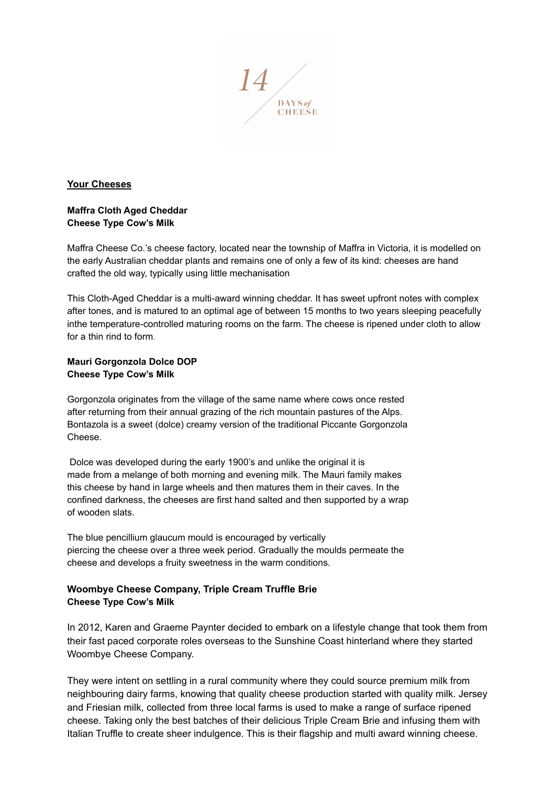

### **Your Cheeses**

### **Maffra Cloth Aged Cheddar Cheese Type Cow's Milk**

Maffra Cheese Co.'s cheese factory, located near the township of Maffra in Victoria, it is modelled on the early Australian cheddar plants and remains one of only a few of its kind: cheeses are hand crafted the old way, typically using little mechanisation

This Cloth-Aged Cheddar is a multi-award winning cheddar. It has sweet upfront notes with complex after tones, and is matured to an optimal age of between 15 months to two years sleeping peacefully inthe temperature-controlled maturing rooms on the farm. The cheese is ripened under cloth to allow for a thin rind to form.

#### **Mauri Gorgonzola Dolce DOP Cheese Type Cow's Milk**

Gorgonzola originates from the village of the same name where cows once rested after returning from their annual grazing of the rich mountain pastures of the Alps. Bontazola is a sweet (dolce) creamy version of the traditional Piccante Gorgonzola Cheese.

Dolce was developed during the early 1900's and unlike the original it is made from a melange of both morning and evening milk. The Mauri family makes this cheese by hand in large wheels and then matures them in their caves. In the confined darkness, the cheeses are first hand salted and then supported by a wrap of wooden slats.

The blue pencillium glaucum mould is encouraged by vertically piercing the cheese over a three week period. Gradually the moulds permeate the cheese and develops a fruity sweetness in the warm conditions.

## **Woombye Cheese Company, Triple Cream Truffle Brie Cheese Type Cow's Milk**

In 2012, Karen and Graeme Paynter decided to embark on a lifestyle change that took them from their fast paced corporate roles overseas to the Sunshine Coast hinterland where they started Woombye Cheese Company.

They were intent on settling in a rural community where they could source premium milk from neighbouring dairy farms, knowing that quality cheese production started with quality milk. Jersey and Friesian milk, collected from three local farms is used to make a range of surface ripened cheese. Taking only the best batches of their delicious Triple Cream Brie and infusing them with Italian Truffle to create sheer indulgence. This is their flagship and multi award winning cheese.